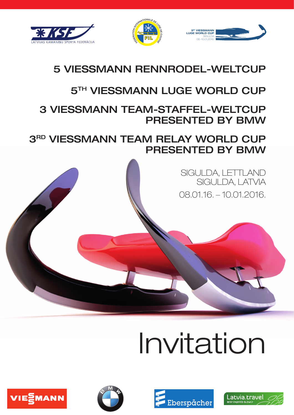





## 5 VIESSMANN RENNRODEL-WELTCUP

## **5TH VIESSMANN LUGE WORLD CUP**

## 3 VIESSMANN TEAM-STAFFEL-WELTCUP PRESENTED BY BMW

3RD VIESSMANN TEAM RELAY WORLD CUP PRESENTED BY BMW

> SIGULDA, LETTLAND SIGULDA, LATVIA 08.01.16. – 10.01.2016.

# Invitation

Eberspächer





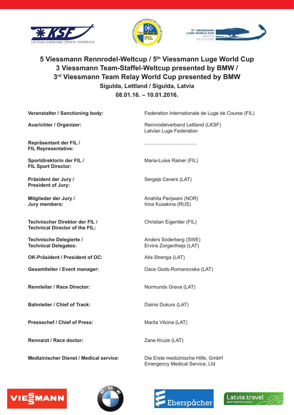





### **5 Viessmann Rennrodel-Weltcup / 5th Viessmann Luge World Cup 3 Viessmann Team-Staffel-Weltcup presented by BMW / 3rd Viessmann Team Relay World Cup presented by BMW Sigulda, Lettland / Sigulda, Latvia 08.01.16. – 10.01.2016.**

| Veranstalter / Sanctioning body:                                        | Federation Internationale de Luge de Course (FIL)           |
|-------------------------------------------------------------------------|-------------------------------------------------------------|
| <b>Ausrichter / Organizer:</b>                                          | Rennrodelverband Lettland (LKSF)<br>Latvian Luge Federation |
| Repräsentant der FIL /<br><b>FIL Representative:</b>                    |                                                             |
| Sportdirektorin der FIL /<br><b>FIL Sport Director:</b>                 | Maria-Luise Rainer (FIL)                                    |
| Präsident der Jury /<br><b>President of Jury:</b>                       | Sergejs Cevers (LAT)                                        |
| Mitglieder der Jury /<br>Jury members:                                  | Anahita Panjwani (NOR)<br>Irina Kusakina (RUS)              |
| Technischer Direktor der FIL /<br><b>Technical Director of the FIL:</b> | Christian Eigentler (FIL)                                   |
| Technische Delegierte /<br><b>Technical Delegates:</b>                  | Anders Söderberg (SWE)<br>Ervins Zorgenfreijs (LAT)         |
| OK-Präsident / President of OC:                                         | Atis Strenga (LAT)                                          |
| <b>Gesamtleiter / Event manager:</b>                                    | Dace Gods-Romanovska (LAT)                                  |
| <b>Rennleiter / Race Director:</b>                                      | Normunds Grava (LAT)                                        |
| <b>Bahnleiter / Chief of Track:</b>                                     | Dainis Dukurs (LAT)                                         |
| <b>Pressechef / Chief of Press:</b>                                     | Marita Vilcina (LAT)                                        |
| <b>Rennarzt / Race doctor:</b>                                          | Zane Kruze (LAT)                                            |
|                                                                         |                                                             |

**Medizinischer Dienst / Medical service**: Die Erste medizinische Hilfe, GmbH Emergency Medical Service, Ltd







Latvia.travel

**BEST ENIOYED SLOWLY**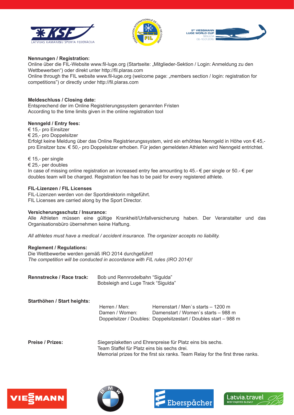





#### **Nennungen / Registration:**

Online über die FIL-Website www.fil-luge.org (Startseite: "Mitglieder-Sektion / Login: Anmeldung zu den Wettbewerben") oder direkt unter http://fil.plaras.com

Online through the FIL website www.fil-luge.org (welcome page: "members section / login: registration for competitions") or directly under http://fil.plaras.com

#### **Meldeschluss / Closing date:**

Entsprechend der im Online Registrierungssystem genannten Fristen According to the time limits given in the online registration tool

#### **Nenngeld / Entry fees:**

€ 15,- pro Einsitzer

€ 25,- pro Doppelsitzer

Erfolgt keine Meldung über das Online Registrierungssystem, wird ein erhöhtes Nenngeld in Höhe von € 45, pro Einsitzer bzw. € 50,- pro Doppelsitzer erhoben. Für jeden gemeldeten Athleten wird Nenngeld entrichtet.

€ 15,- per single

€ 25,- per doubles

In case of missing online registration an increased entry fee amounting to 45.-  $\epsilon$  per single or 50.-  $\epsilon$  per doubles team will be charged. Registration fee has to be paid for every registered athlete.

#### **FIL-Lizenzen / FIL Licenses**

FIL-Lizenzen werden von der Sportdirektorin mitgeführt. FIL Licenses are carried along by the Sport Director.

#### **Versicherungsschutz / Insurance:**

Alle Athleten müssen eine gültige Krankheit/Unfallversicherung haben. Der Veranstalter und das Organisationsbüro übernehmen keine Haftung.

*All athletes must have a medical / accident insurance. The organizer accepts no liability.*

#### **Reglement / Regulations:**

Die Wettbewerbe werden gemäß IRO 2014 durchgeführt! *The competition will be conducted in accordance with FIL rules (IRO 2014)!*

| Rennstrecke / Race track: | Bob und Rennrodelbahn "Sigulda"    |
|---------------------------|------------------------------------|
|                           | Bobsleigh and Luge Track "Sigulda" |

#### **Starthöhen / Start heights:**

 Herren / Men: Herrenstart / Men`s starts – 1200 m Damen / Women: Damenstart / Women`s starts – 988 m Doppelsitzer / Doubles: Doppelsitzestart / Doubles start – 988 m

**Preise / Prizes:** Siegerplaketten und Ehrenpreise für Platz eins bis sechs. Team Staffel für Platz eins bis sechs drei. Memorial prizes for the first six ranks. Team Relay for the first three ranks.







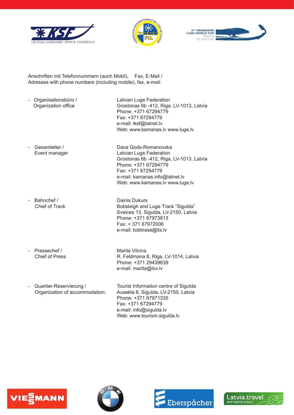





Anschriften mit Telefonnummern (auch Mobil), Fax, E-Mail / Adresses with phone numbers (including mobile), fax, e-mail:

- Organisationsbüro / Latvian Luge Federation<br>Organization office discussed Crostonas 6b -412, Riga

Grostonas 6b -412, Riga, LV-1013, Latvia Phone: +371 67294779 Fax: +371 67294779 e-mail: lksf@latnet.lv Web: www.kamanas.lv www.luge.lv

Gesamleiter / Cassamleiter / Dace Gods-Romanovska

- Bahnchef / Dainis Dukurs

Event manager Latvian Luge Federation Grostonas 6b -412, Riga, LV-1013, Latvia Phone: +371 67294779 Fax: +371 67294779 e-mail: kamanas.info@latnet.lv Web: www.kamanas.lv www.luge.lv

Chief of Track **Bobsleigh and Luge Track "Sigulda"** Sveices 13, Sigulda, LV-2150, Latvia Phone: +371 67973813 Fax: + 371 67972006 e-mail: bobtrase@lis.lv

- Pressechef / Marita Vilcina<br>Chief of Press R. Feldmana

R. Feldmana 8, Riga, LV-1014, Latvia Phone: +371 29439639 e-mail: marita@lov.lv

Quartier-Reservierung / Tourist Information centre of Sigulda Organization of accommodation: Ausekla 6, Sigulda, LV-2150, Latvia Phone: +371 67971335 Fax: +371 67294779 e-mail: info@sigulda.lv Web: www.tourism.sigulda.lv